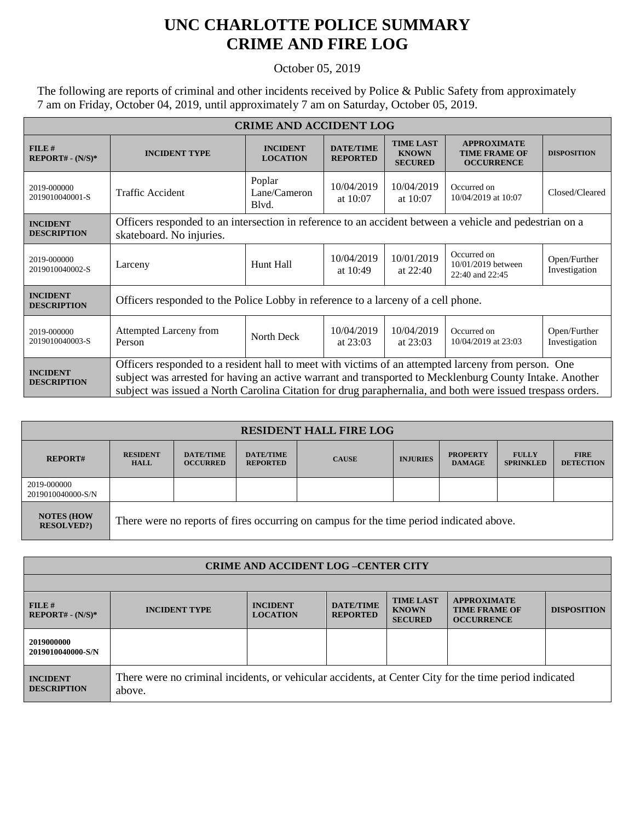## **UNC CHARLOTTE POLICE SUMMARY CRIME AND FIRE LOG**

## October 05, 2019

The following are reports of criminal and other incidents received by Police & Public Safety from approximately 7 am on Friday, October 04, 2019, until approximately 7 am on Saturday, October 05, 2019.

| <b>CRIME AND ACCIDENT LOG</b>         |                                                                                                                                                                                                                                                                                                                              |                                    |                                     |                                                    |                                                                 |                               |  |
|---------------------------------------|------------------------------------------------------------------------------------------------------------------------------------------------------------------------------------------------------------------------------------------------------------------------------------------------------------------------------|------------------------------------|-------------------------------------|----------------------------------------------------|-----------------------------------------------------------------|-------------------------------|--|
| FILE#<br>$REPORT# - (N/S)*$           | <b>INCIDENT TYPE</b>                                                                                                                                                                                                                                                                                                         | <b>INCIDENT</b><br><b>LOCATION</b> | <b>DATE/TIME</b><br><b>REPORTED</b> | <b>TIME LAST</b><br><b>KNOWN</b><br><b>SECURED</b> | <b>APPROXIMATE</b><br><b>TIME FRAME OF</b><br><b>OCCURRENCE</b> | <b>DISPOSITION</b>            |  |
| 2019-000000<br>2019010040001-S        | <b>Traffic Accident</b>                                                                                                                                                                                                                                                                                                      | Poplar<br>Lane/Cameron<br>Blyd.    | 10/04/2019<br>at 10:07              | 10/04/2019<br>at 10:07                             | Occurred on<br>10/04/2019 at 10:07                              | Closed/Cleared                |  |
| <b>INCIDENT</b><br><b>DESCRIPTION</b> | Officers responded to an intersection in reference to an accident between a vehicle and pedestrian on a<br>skateboard. No injuries.                                                                                                                                                                                          |                                    |                                     |                                                    |                                                                 |                               |  |
| 2019-000000<br>2019010040002-S        | Larceny                                                                                                                                                                                                                                                                                                                      | Hunt Hall                          | 10/04/2019<br>at 10:49              | 10/01/2019<br>at $22:40$                           | Occurred on<br>10/01/2019 between<br>22:40 and 22:45            | Open/Further<br>Investigation |  |
| <b>INCIDENT</b><br><b>DESCRIPTION</b> | Officers responded to the Police Lobby in reference to a larceny of a cell phone.                                                                                                                                                                                                                                            |                                    |                                     |                                                    |                                                                 |                               |  |
| 2019-000000<br>2019010040003-S        | <b>Attempted Larceny from</b><br>Person                                                                                                                                                                                                                                                                                      | North Deck                         | 10/04/2019<br>at $23:03$            | 10/04/2019<br>at $23:03$                           | Occurred on<br>10/04/2019 at 23:03                              | Open/Further<br>Investigation |  |
| <b>INCIDENT</b><br><b>DESCRIPTION</b> | Officers responded to a resident hall to meet with victims of an attempted larceny from person. One<br>subject was arrested for having an active warrant and transported to Mecklenburg County Intake. Another<br>subject was issued a North Carolina Citation for drug paraphernalia, and both were issued trespass orders. |                                    |                                     |                                                    |                                                                 |                               |  |

| <b>RESIDENT HALL FIRE LOG</b>         |                                                                                         |                                     |                                     |              |                 |                                  |                                  |                                 |
|---------------------------------------|-----------------------------------------------------------------------------------------|-------------------------------------|-------------------------------------|--------------|-----------------|----------------------------------|----------------------------------|---------------------------------|
| <b>REPORT#</b>                        | <b>RESIDENT</b><br><b>HALL</b>                                                          | <b>DATE/TIME</b><br><b>OCCURRED</b> | <b>DATE/TIME</b><br><b>REPORTED</b> | <b>CAUSE</b> | <b>INJURIES</b> | <b>PROPERTY</b><br><b>DAMAGE</b> | <b>FULLY</b><br><b>SPRINKLED</b> | <b>FIRE</b><br><b>DETECTION</b> |
| 2019-000000<br>2019010040000-S/N      |                                                                                         |                                     |                                     |              |                 |                                  |                                  |                                 |
| <b>NOTES (HOW</b><br><b>RESOLVED?</b> | There were no reports of fires occurring on campus for the time period indicated above. |                                     |                                     |              |                 |                                  |                                  |                                 |

| <b>CRIME AND ACCIDENT LOG-CENTER CITY</b> |                                                                                                                  |                                    |                                     |                                                    |                                                                 |                    |  |
|-------------------------------------------|------------------------------------------------------------------------------------------------------------------|------------------------------------|-------------------------------------|----------------------------------------------------|-----------------------------------------------------------------|--------------------|--|
|                                           |                                                                                                                  |                                    |                                     |                                                    |                                                                 |                    |  |
| FILE#<br>$REPORT# - (N/S)*$               | <b>INCIDENT TYPE</b>                                                                                             | <b>INCIDENT</b><br><b>LOCATION</b> | <b>DATE/TIME</b><br><b>REPORTED</b> | <b>TIME LAST</b><br><b>KNOWN</b><br><b>SECURED</b> | <b>APPROXIMATE</b><br><b>TIME FRAME OF</b><br><b>OCCURRENCE</b> | <b>DISPOSITION</b> |  |
| 2019000000<br>2019010040000-S/N           |                                                                                                                  |                                    |                                     |                                                    |                                                                 |                    |  |
| <b>INCIDENT</b><br><b>DESCRIPTION</b>     | There were no criminal incidents, or vehicular accidents, at Center City for the time period indicated<br>above. |                                    |                                     |                                                    |                                                                 |                    |  |